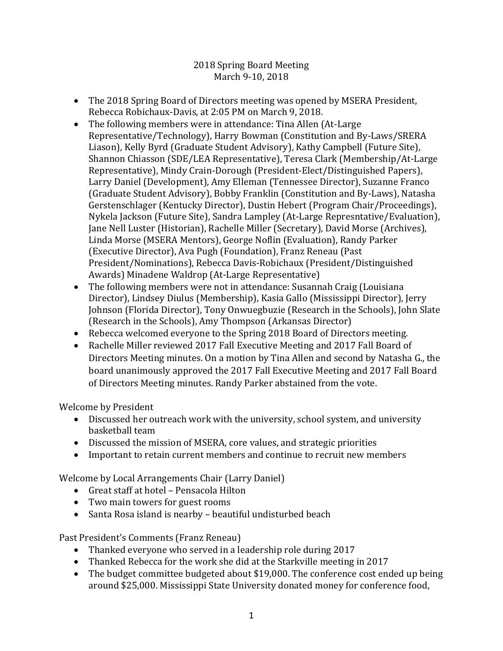2018 Spring Board Meeting March 9-10, 2018

- The 2018 Spring Board of Directors meeting was opened by MSERA President, Rebecca Robichaux-Davis, at 2:05 PM on March 9, 2018.
- The following members were in attendance: Tina Allen (At-Large) Representative/Technology), Harry Bowman (Constitution and By-Laws/SRERA Liason), Kelly Byrd (Graduate Student Advisory), Kathy Campbell (Future Site), Shannon Chiasson (SDE/LEA Representative), Teresa Clark (Membership/At-Large Representative), Mindy Crain-Dorough (President-Elect/Distinguished Papers), Larry Daniel (Development), Amy Elleman (Tennessee Director), Suzanne Franco (Graduate Student Advisory), Bobby Franklin (Constitution and By-Laws), Natasha Gerstenschlager (Kentucky Director), Dustin Hebert (Program Chair/Proceedings), Nykela Jackson (Future Site), Sandra Lampley (At-Large Represntative/Evaluation), Jane Nell Luster (Historian), Rachelle Miller (Secretary), David Morse (Archives), Linda Morse (MSERA Mentors), George Noflin (Evaluation), Randy Parker (Executive Director), Ava Pugh (Foundation), Franz Reneau (Past President/Nominations), Rebecca Davis-Robichaux (President/Distinguished Awards) Minadene Waldrop (At-Large Representative)
- The following members were not in attendance: Susannah Craig (Louisiana Director), Lindsey Diulus (Membership), Kasia Gallo (Mississippi Director), Jerry Johnson (Florida Director), Tony Onwuegbuzie (Research in the Schools), John Slate (Research in the Schools), Amy Thompson (Arkansas Director)
- Rebecca welcomed everyone to the Spring 2018 Board of Directors meeting.
- Rachelle Miller reviewed 2017 Fall Executive Meeting and 2017 Fall Board of Directors Meeting minutes. On a motion by Tina Allen and second by Natasha G., the board unanimously approved the 2017 Fall Executive Meeting and 2017 Fall Board of Directors Meeting minutes. Randy Parker abstained from the vote.

Welcome by President

- Discussed her outreach work with the university, school system, and university basketball team
- Discussed the mission of MSERA, core values, and strategic priorities
- Important to retain current members and continue to recruit new members

Welcome by Local Arrangements Chair (Larry Daniel)

- Great staff at hotel Pensacola Hilton
- Two main towers for guest rooms
- Santa Rosa island is nearby beautiful undisturbed beach

Past President's Comments (Franz Reneau)

- Thanked everyone who served in a leadership role during 2017
- Thanked Rebecca for the work she did at the Starkville meeting in 2017
- The budget committee budgeted about \$19,000. The conference cost ended up being around \$25,000. Mississippi State University donated money for conference food,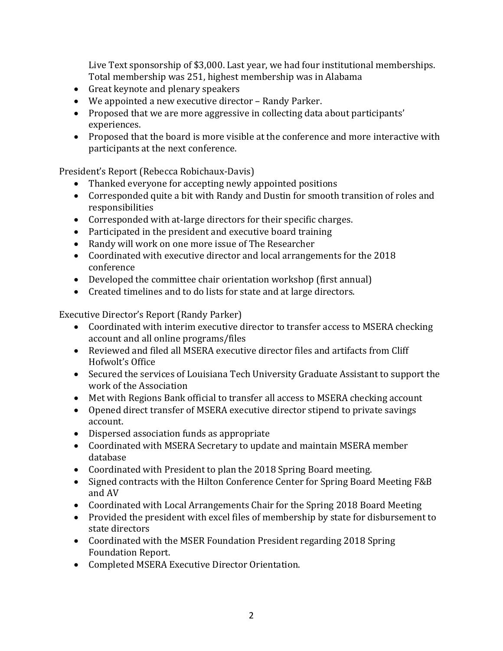Live Text sponsorship of \$3,000. Last year, we had four institutional memberships. Total membership was 251, highest membership was in Alabama

- Great keynote and plenary speakers
- We appointed a new executive director Randy Parker.
- Proposed that we are more aggressive in collecting data about participants' experiences.
- Proposed that the board is more visible at the conference and more interactive with participants at the next conference.

President's Report (Rebecca Robichaux-Davis)

- Thanked everyone for accepting newly appointed positions
- Corresponded quite a bit with Randy and Dustin for smooth transition of roles and responsibilities
- Corresponded with at-large directors for their specific charges.
- Participated in the president and executive board training
- Randy will work on one more issue of The Researcher
- Coordinated with executive director and local arrangements for the 2018 conference
- Developed the committee chair orientation workshop (first annual)
- Created timelines and to do lists for state and at large directors.

Executive Director's Report (Randy Parker)

- Coordinated with interim executive director to transfer access to MSERA checking account and all online programs/files
- Reviewed and filed all MSERA executive director files and artifacts from Cliff Hofwolt's Office
- Secured the services of Louisiana Tech University Graduate Assistant to support the work of the Association
- Met with Regions Bank official to transfer all access to MSERA checking account
- Opened direct transfer of MSERA executive director stipend to private savings account.
- Dispersed association funds as appropriate
- Coordinated with MSERA Secretary to update and maintain MSERA member database
- Coordinated with President to plan the 2018 Spring Board meeting.
- Signed contracts with the Hilton Conference Center for Spring Board Meeting F&B and AV
- Coordinated with Local Arrangements Chair for the Spring 2018 Board Meeting
- Provided the president with excel files of membership by state for disbursement to state directors
- Coordinated with the MSER Foundation President regarding 2018 Spring Foundation Report.
- Completed MSERA Executive Director Orientation.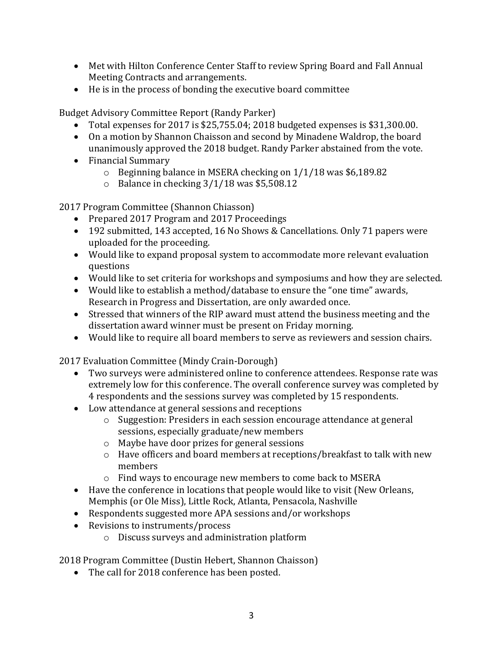- Met with Hilton Conference Center Staff to review Spring Board and Fall Annual Meeting Contracts and arrangements.
- He is in the process of bonding the executive board committee

Budget Advisory Committee Report (Randy Parker)

- Total expenses for 2017 is \$25,755.04; 2018 budgeted expenses is \$31,300.00.
- On a motion by Shannon Chaisson and second by Minadene Waldrop, the board unanimously approved the 2018 budget. Randy Parker abstained from the vote.
- Financial Summary
	- o Beginning balance in MSERA checking on 1/1/18 was \$6,189.82
	- o Balance in checking 3/1/18 was \$5,508.12

2017 Program Committee (Shannon Chiasson)

- Prepared 2017 Program and 2017 Proceedings
- 192 submitted, 143 accepted, 16 No Shows & Cancellations. Only 71 papers were uploaded for the proceeding.
- Would like to expand proposal system to accommodate more relevant evaluation questions
- Would like to set criteria for workshops and symposiums and how they are selected.
- Would like to establish a method/database to ensure the "one time" awards, Research in Progress and Dissertation, are only awarded once.
- Stressed that winners of the RIP award must attend the business meeting and the dissertation award winner must be present on Friday morning.
- Would like to require all board members to serve as reviewers and session chairs.

2017 Evaluation Committee (Mindy Crain-Dorough)

- Two surveys were administered online to conference attendees. Response rate was extremely low for this conference. The overall conference survey was completed by 4 respondents and the sessions survey was completed by 15 respondents.
- Low attendance at general sessions and receptions
	- o Suggestion: Presiders in each session encourage attendance at general sessions, especially graduate/new members
	- o Maybe have door prizes for general sessions
	- o Have officers and board members at receptions/breakfast to talk with new members
	- o Find ways to encourage new members to come back to MSERA
- Have the conference in locations that people would like to visit (New Orleans, Memphis (or Ole Miss), Little Rock, Atlanta, Pensacola, Nashville
- Respondents suggested more APA sessions and/or workshops
- Revisions to instruments/process
	- o Discuss surveys and administration platform

2018 Program Committee (Dustin Hebert, Shannon Chaisson)

• The call for 2018 conference has been posted.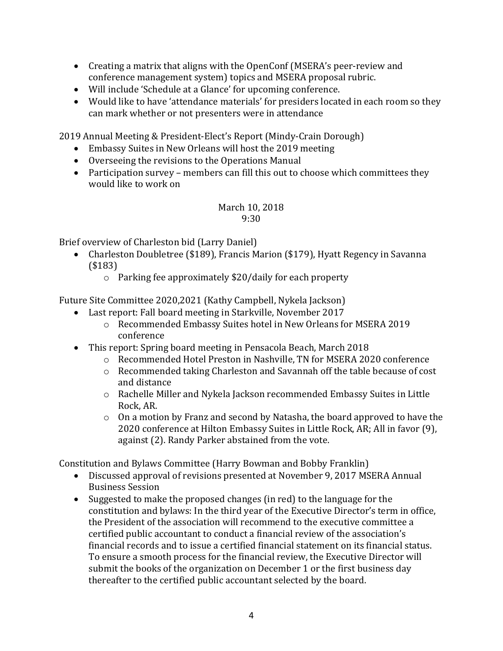- Creating a matrix that aligns with the OpenConf (MSERA's peer-review and conference management system) topics and MSERA proposal rubric.
- Will include 'Schedule at a Glance' for upcoming conference.
- Would like to have 'attendance materials' for presiders located in each room so they can mark whether or not presenters were in attendance

2019 Annual Meeting & President-Elect's Report (Mindy-Crain Dorough)

- Embassy Suites in New Orleans will host the 2019 meeting
- Overseeing the revisions to the Operations Manual
- Participation survey members can fill this out to choose which committees they would like to work on

## March 10, 2018 9:30

Brief overview of Charleston bid (Larry Daniel)

- Charleston Doubletree (\$189), Francis Marion (\$179), Hyatt Regency in Savanna (\$183)
	- o Parking fee approximately \$20/daily for each property

Future Site Committee 2020,2021 (Kathy Campbell, Nykela Jackson)

- Last report: Fall board meeting in Starkville, November 2017
	- o Recommended Embassy Suites hotel in New Orleans for MSERA 2019 conference
- This report: Spring board meeting in Pensacola Beach, March 2018
	- o Recommended Hotel Preston in Nashville, TN for MSERA 2020 conference
	- o Recommended taking Charleston and Savannah off the table because of cost and distance
	- o Rachelle Miller and Nykela Jackson recommended Embassy Suites in Little Rock, AR.
	- o On a motion by Franz and second by Natasha, the board approved to have the 2020 conference at Hilton Embassy Suites in Little Rock, AR; All in favor (9), against (2). Randy Parker abstained from the vote.

Constitution and Bylaws Committee (Harry Bowman and Bobby Franklin)

- Discussed approval of revisions presented at November 9, 2017 MSERA Annual Business Session
- Suggested to make the proposed changes (in red) to the language for the constitution and bylaws: In the third year of the Executive Director's term in office, the President of the association will recommend to the executive committee a certified public accountant to conduct a financial review of the association's financial records and to issue a certified financial statement on its financial status. To ensure a smooth process for the financial review, the Executive Director will submit the books of the organization on December 1 or the first business day thereafter to the certified public accountant selected by the board.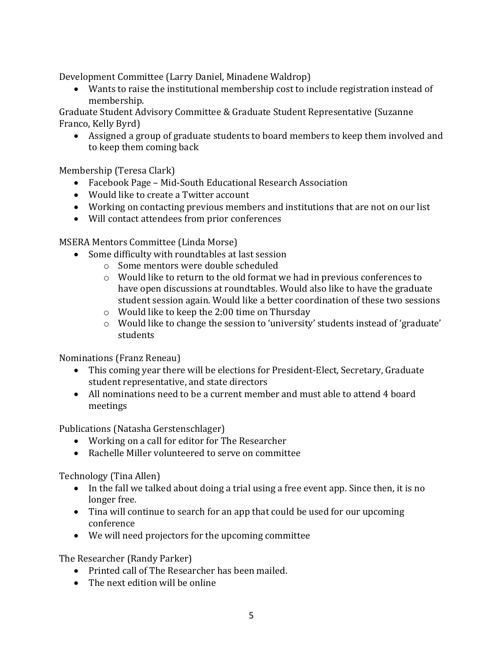Development Committee (Larry Daniel, Minadene Waldrop)

• Wants to raise the institutional membership cost to include registration instead of membership.

Graduate Student Advisory Committee & Graduate Student Representative (Suzanne Franco, Kelly Byrd)

• Assigned a group of graduate students to board members to keep them involved and to keep them coming back

Membership (Teresa Clark)

- Facebook Page Mid-South Educational Research Association
- Would like to create a Twitter account
- Working on contacting previous members and institutions that are not on our list
- Will contact attendees from prior conferences

MSERA Mentors Committee (Linda Morse)

- Some difficulty with roundtables at last session
	- o Some mentors were double scheduled
	- o Would like to return to the old format we had in previous conferences to have open discussions at roundtables. Would also like to have the graduate student session again. Would like a better coordination of these two sessions
	- o Would like to keep the 2:00 time on Thursday
	- o Would like to change the session to 'university' students instead of 'graduate' students

Nominations (Franz Reneau)

- This coming year there will be elections for President-Elect, Secretary, Graduate student representative, and state directors
- All nominations need to be a current member and must able to attend 4 board meetings

Publications (Natasha Gerstenschlager)

- Working on a call for editor for The Researcher
- Rachelle Miller volunteered to serve on committee

Technology (Tina Allen)

- In the fall we talked about doing a trial using a free event app. Since then, it is no longer free.
- Tina will continue to search for an app that could be used for our upcoming conference
- We will need projectors for the upcoming committee

The Researcher (Randy Parker)

- Printed call of The Researcher has been mailed.
- The next edition will be online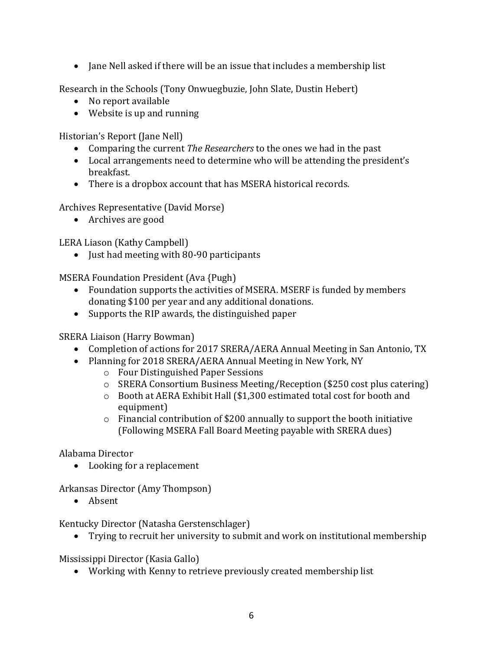• Jane Nell asked if there will be an issue that includes a membership list

Research in the Schools (Tony Onwuegbuzie, John Slate, Dustin Hebert)

- No report available
- Website is up and running

Historian's Report (Jane Nell)

- Comparing the current *The Researchers* to the ones we had in the past
- Local arrangements need to determine who will be attending the president's breakfast.
- There is a dropbox account that has MSERA historical records.

Archives Representative (David Morse)

• Archives are good

LERA Liason (Kathy Campbell)

• Just had meeting with 80-90 participants

MSERA Foundation President (Ava {Pugh)

- Foundation supports the activities of MSERA. MSERF is funded by members donating \$100 per year and any additional donations.
- Supports the RIP awards, the distinguished paper

SRERA Liaison (Harry Bowman)

- Completion of actions for 2017 SRERA/AERA Annual Meeting in San Antonio, TX
- Planning for 2018 SRERA/AERA Annual Meeting in New York, NY
	- o Four Distinguished Paper Sessions
	- o SRERA Consortium Business Meeting/Reception (\$250 cost plus catering)
	- o Booth at AERA Exhibit Hall (\$1,300 estimated total cost for booth and equipment)
	- $\circ$  Financial contribution of \$200 annually to support the booth initiative (Following MSERA Fall Board Meeting payable with SRERA dues)

Alabama Director

• Looking for a replacement

Arkansas Director (Amy Thompson)

• Absent

Kentucky Director (Natasha Gerstenschlager)

• Trying to recruit her university to submit and work on institutional membership

Mississippi Director (Kasia Gallo)

• Working with Kenny to retrieve previously created membership list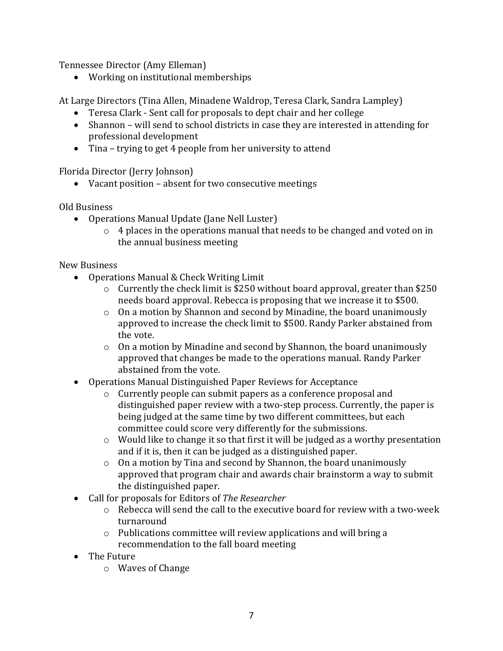Tennessee Director (Amy Elleman)

• Working on institutional memberships

At Large Directors (Tina Allen, Minadene Waldrop, Teresa Clark, Sandra Lampley)

- Teresa Clark Sent call for proposals to dept chair and her college
- Shannon will send to school districts in case they are interested in attending for professional development
- Tina trying to get 4 people from her university to attend

Florida Director (Jerry Johnson)

• Vacant position – absent for two consecutive meetings

Old Business

- Operations Manual Update (Jane Nell Luster)
	- o 4 places in the operations manual that needs to be changed and voted on in the annual business meeting

New Business

- Operations Manual & Check Writing Limit
	- o Currently the check limit is \$250 without board approval, greater than \$250 needs board approval. Rebecca is proposing that we increase it to \$500.
	- o On a motion by Shannon and second by Minadine, the board unanimously approved to increase the check limit to \$500. Randy Parker abstained from the vote.
	- o On a motion by Minadine and second by Shannon, the board unanimously approved that changes be made to the operations manual. Randy Parker abstained from the vote.
- Operations Manual Distinguished Paper Reviews for Acceptance
	- o Currently people can submit papers as a conference proposal and distinguished paper review with a two-step process. Currently, the paper is being judged at the same time by two different committees, but each committee could score very differently for the submissions.
	- o Would like to change it so that first it will be judged as a worthy presentation and if it is, then it can be judged as a distinguished paper.
	- o On a motion by Tina and second by Shannon, the board unanimously approved that program chair and awards chair brainstorm a way to submit the distinguished paper.
- Call for proposals for Editors of *The Researcher*
	- o Rebecca will send the call to the executive board for review with a two-week turnaround
	- o Publications committee will review applications and will bring a recommendation to the fall board meeting
- The Future
	- o Waves of Change